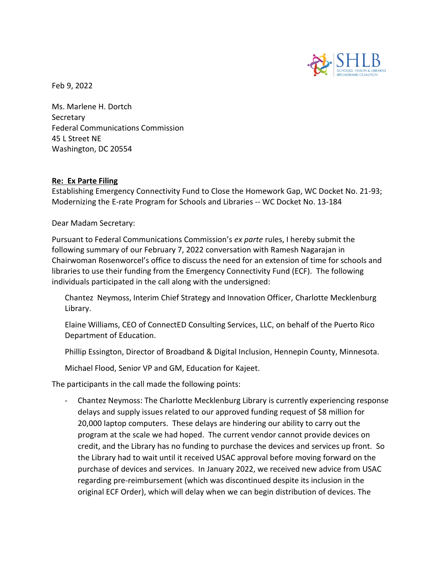

Feb 9, 2022

Ms. Marlene H. Dortch Secretary Federal Communications Commission 45 L Street NE Washington, DC 20554

## **Re: Ex Parte Filing**

Establishing Emergency Connectivity Fund to Close the Homework Gap, WC Docket No. 21-93; Modernizing the E‐rate Program for Schools and Libraries ‐‐ WC Docket No. 13‐184

Dear Madam Secretary:

Pursuant to Federal Communications Commission's *ex parte* rules, I hereby submit the following summary of our February 7, 2022 conversation with Ramesh Nagarajan in Chairwoman Rosenworcel's office to discuss the need for an extension of time for schools and libraries to use their funding from the Emergency Connectivity Fund (ECF). The following individuals participated in the call along with the undersigned:

Chantez Neymoss, Interim Chief Strategy and Innovation Officer, Charlotte Mecklenburg Library.

Elaine Williams, CEO of ConnectED Consulting Services, LLC, on behalf of the Puerto Rico Department of Education.

Phillip Essington, Director of Broadband & Digital Inclusion, Hennepin County, Minnesota.

Michael Flood, Senior VP and GM, Education for Kajeet.

The participants in the call made the following points:

- Chantez Neymoss: The Charlotte Mecklenburg Library is currently experiencing response delays and supply issues related to our approved funding request of \$8 million for 20,000 laptop computers. These delays are hindering our ability to carry out the program at the scale we had hoped. The current vendor cannot provide devices on credit, and the Library has no funding to purchase the devices and services up front. So the Library had to wait until it received USAC approval before moving forward on the purchase of devices and services. In January 2022, we received new advice from USAC regarding pre-reimbursement (which was discontinued despite its inclusion in the original ECF Order), which will delay when we can begin distribution of devices. The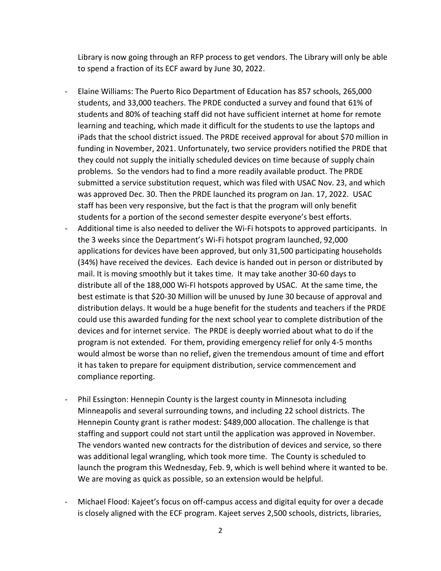Library is now going through an RFP process to get vendors. The Library will only be able to spend a fraction of its ECF award by June 30, 2022.

- Elaine Williams: The Puerto Rico Department of Education has 857 schools, 265,000 students, and 33,000 teachers. The PRDE conducted a survey and found that 61% of students and 80% of teaching staff did not have sufficient internet at home for remote learning and teaching, which made it difficult for the students to use the laptops and iPads that the school district issued. The PRDE received approval for about \$70 million in funding in November, 2021. Unfortunately, two service providers notified the PRDE that they could not supply the initially scheduled devices on time because of supply chain problems. So the vendors had to find a more readily available product. The PRDE submitted a service substitution request, which was filed with USAC Nov. 23, and which was approved Dec. 30. Then the PRDE launched its program on Jan. 17, 2022. USAC staff has been very responsive, but the fact is that the program will only benefit students for a portion of the second semester despite everyone's best efforts.
- Additional time is also needed to deliver the Wi-Fi hotspots to approved participants. In the 3 weeks since the Department's Wi-Fi hotspot program launched, 92,000 applications for devices have been approved, but only 31,500 participating households (34%) have received the devices. Each device is handed out in person or distributed by mail. It is moving smoothly but it takes time. It may take another 30-60 days to distribute all of the 188,000 Wi-FI hotspots approved by USAC. At the same time, the best estimate is that \$20-30 Million will be unused by June 30 because of approval and distribution delays. It would be a huge benefit for the students and teachers if the PRDE could use this awarded funding for the next school year to complete distribution of the devices and for internet service. The PRDE is deeply worried about what to do if the program is not extended. For them, providing emergency relief for only 4-5 months would almost be worse than no relief, given the tremendous amount of time and effort it has taken to prepare for equipment distribution, service commencement and compliance reporting.
- Phil Essington: Hennepin County is the largest county in Minnesota including Minneapolis and several surrounding towns, and including 22 school districts. The Hennepin County grant is rather modest: \$489,000 allocation. The challenge is that staffing and support could not start until the application was approved in November. The vendors wanted new contracts for the distribution of devices and service, so there was additional legal wrangling, which took more time. The County is scheduled to launch the program this Wednesday, Feb. 9, which is well behind where it wanted to be. We are moving as quick as possible, so an extension would be helpful.
- Michael Flood: Kajeet's focus on off-campus access and digital equity for over a decade is closely aligned with the ECF program. Kajeet serves 2,500 schools, districts, libraries,